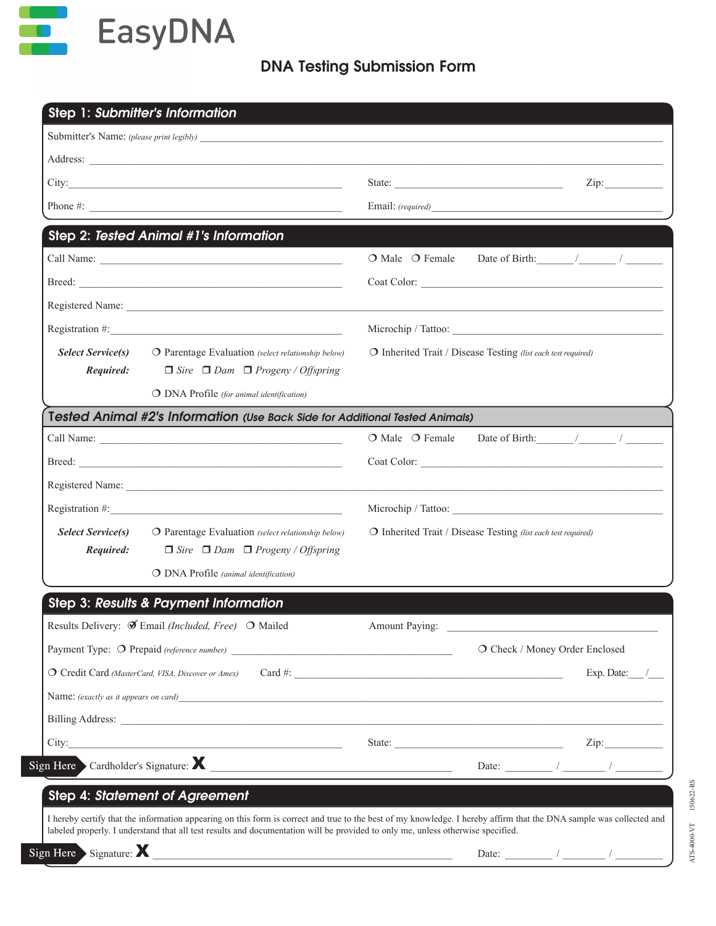

## DNA Testing Submission Form

| Step 1: Submitter's Information                                                                                                                                                                                                                                                                                   |                                                               |
|-------------------------------------------------------------------------------------------------------------------------------------------------------------------------------------------------------------------------------------------------------------------------------------------------------------------|---------------------------------------------------------------|
|                                                                                                                                                                                                                                                                                                                   |                                                               |
|                                                                                                                                                                                                                                                                                                                   |                                                               |
|                                                                                                                                                                                                                                                                                                                   | State:                                                        |
|                                                                                                                                                                                                                                                                                                                   |                                                               |
| <b>Step 2: Tested Animal #1's Information</b>                                                                                                                                                                                                                                                                     |                                                               |
|                                                                                                                                                                                                                                                                                                                   | $O$ Male $O$ Female                                           |
|                                                                                                                                                                                                                                                                                                                   |                                                               |
|                                                                                                                                                                                                                                                                                                                   |                                                               |
|                                                                                                                                                                                                                                                                                                                   |                                                               |
| <b>Select Service(s)</b><br>O Parentage Evaluation (select relationship below)                                                                                                                                                                                                                                    | O Inherited Trait / Disease Testing (list each test required) |
| Required:<br>$\Box$ Sire $\Box$ Dam $\Box$ Progeny / Offspring                                                                                                                                                                                                                                                    |                                                               |
| O DNA Profile (for animal identification)                                                                                                                                                                                                                                                                         |                                                               |
| Tested Animal #2's Information (Use Back Side for Additional Tested Animals)                                                                                                                                                                                                                                      |                                                               |
|                                                                                                                                                                                                                                                                                                                   |                                                               |
|                                                                                                                                                                                                                                                                                                                   |                                                               |
|                                                                                                                                                                                                                                                                                                                   |                                                               |
| Registration #: $\frac{1}{2}$ $\frac{1}{2}$ $\frac{1}{2}$ $\frac{1}{2}$ $\frac{1}{2}$ $\frac{1}{2}$ $\frac{1}{2}$ $\frac{1}{2}$ $\frac{1}{2}$ $\frac{1}{2}$ $\frac{1}{2}$ $\frac{1}{2}$ $\frac{1}{2}$ $\frac{1}{2}$ $\frac{1}{2}$ $\frac{1}{2}$ $\frac{1}{2}$ $\frac{1}{2}$ $\frac{1}{2}$ $\frac{1}{2}$ $\frac{1$ |                                                               |
| <b>Select Service(s)</b><br>O Parentage Evaluation (select relationship below)                                                                                                                                                                                                                                    | O Inherited Trait / Disease Testing (list each test required) |
| Required:<br>$\Box$ Sire $\Box$ Dam $\Box$ Progeny / Offspring                                                                                                                                                                                                                                                    |                                                               |
| O DNA Profile (animal identification)                                                                                                                                                                                                                                                                             |                                                               |
| Step 3: Results & Payment Information                                                                                                                                                                                                                                                                             |                                                               |
| Results Delivery: $\mathcal{F}$ Email (Included, Free) $\circ$ Mailed                                                                                                                                                                                                                                             | Amount Paying:                                                |
|                                                                                                                                                                                                                                                                                                                   | O Check / Money Order Enclosed                                |
|                                                                                                                                                                                                                                                                                                                   | Exp. Date: /                                                  |
| Name: (exactly as it appears on card)                                                                                                                                                                                                                                                                             |                                                               |
|                                                                                                                                                                                                                                                                                                                   |                                                               |
|                                                                                                                                                                                                                                                                                                                   |                                                               |
| Sign Here Cardholder's Signature: X                                                                                                                                                                                                                                                                               |                                                               |
| Step 4: Statement of Agreement                                                                                                                                                                                                                                                                                    |                                                               |
| I hereby certify that the information appearing on this form is correct and true to the best of my knowledge. I hereby affirm that the DNA sample was collected and                                                                                                                                               |                                                               |
| labeled properly. I understand that all test results and documentation will be provided to only me, unless otherwise specified.                                                                                                                                                                                   |                                                               |
| Sign Here Signature: X                                                                                                                                                                                                                                                                                            |                                                               |

EBTZEOBDPM